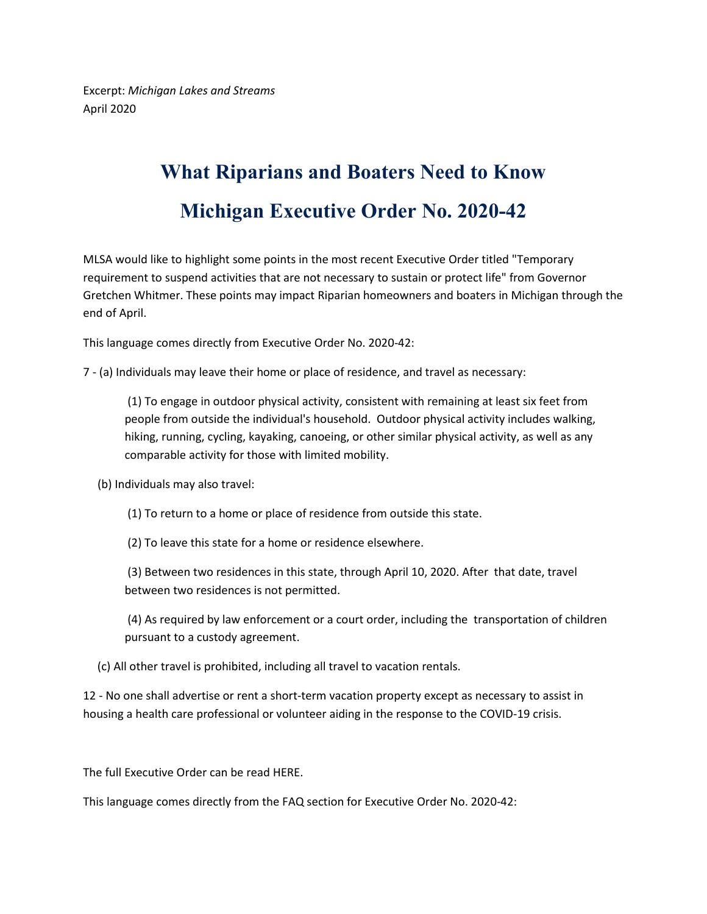Excerpt: *Michigan Lakes and Streams* April 2020

## **What Riparians and Boaters Need to Know Michigan Executive Order No. 2020-42**

MLSA would like to highlight some points in the most recent Executive Order titled "Temporary requirement to suspend activities that are not necessary to sustain or protect life" from Governor Gretchen Whitmer. These points may impact Riparian homeowners and boaters in Michigan through the end of April.

This language comes directly from Executive Order No. 2020-42:

7 - (a) Individuals may leave their home or place of residence, and travel as necessary:

(1) To engage in outdoor physical activity, consistent with remaining at least six feet from people from outside the individual's household. Outdoor physical activity includes walking, hiking, running, cycling, kayaking, canoeing, or other similar physical activity, as well as any comparable activity for those with limited mobility.

(b) Individuals may also travel:

(1) To return to a home or place of residence from outside this state.

(2) To leave this state for a home or residence elsewhere.

(3) Between two residences in this state, through April 10, 2020. After that date, travel between two residences is not permitted.

(4) As required by law enforcement or a court order, including the transportation of children pursuant to a custody agreement.

(c) All other travel is prohibited, including all travel to vacation rentals.

12 - No one shall advertise or rent a short-term vacation property except as necessary to assist in housing a health care professional or volunteer aiding in the response to the COVID-19 crisis.

The full Executive Order can be read HERE.

This language comes directly from the FAQ section for Executive Order No. 2020-42: